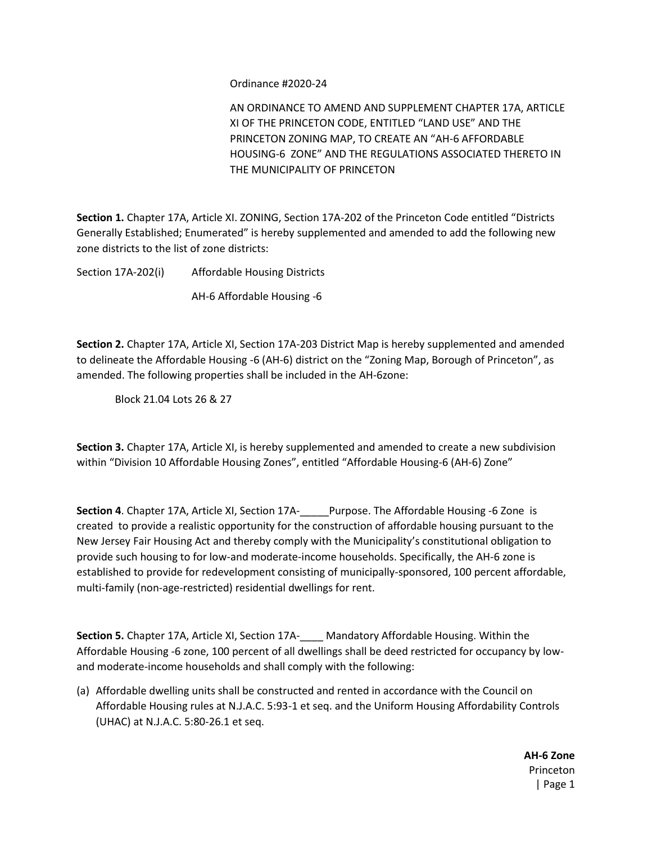Ordinance #2020-24

AN ORDINANCE TO AMEND AND SUPPLEMENT CHAPTER 17A, ARTICLE XI OF THE PRINCETON CODE, ENTITLED "LAND USE" AND THE PRINCETON ZONING MAP, TO CREATE AN "AH-6 AFFORDABLE HOUSING-6 ZONE" AND THE REGULATIONS ASSOCIATED THERETO IN THE MUNICIPALITY OF PRINCETON

**Section 1.** Chapter 17A, Article XI. ZONING, Section 17A-202 of the Princeton Code entitled "Districts Generally Established; Enumerated" is hereby supplemented and amended to add the following new zone districts to the list of zone districts:

Section 17A-202(i) Affordable Housing Districts AH-6 Affordable Housing -6

**Section 2.** Chapter 17A, Article XI, Section 17A-203 District Map is hereby supplemented and amended to delineate the Affordable Housing -6 (AH-6) district on the "Zoning Map, Borough of Princeton", as amended. The following properties shall be included in the AH-6zone:

Block 21.04 Lots 26 & 27

**Section 3.** Chapter 17A, Article XI, is hereby supplemented and amended to create a new subdivision within "Division 10 Affordable Housing Zones", entitled "Affordable Housing-6 (AH-6) Zone"

**Section 4**. Chapter 17A, Article XI, Section 17A-\_\_\_\_\_Purpose. The Affordable Housing -6 Zone is created to provide a realistic opportunity for the construction of affordable housing pursuant to the New Jersey Fair Housing Act and thereby comply with the Municipality's constitutional obligation to provide such housing to for low-and moderate-income households. Specifically, the AH-6 zone is established to provide for redevelopment consisting of municipally-sponsored, 100 percent affordable, multi-family (non-age-restricted) residential dwellings for rent.

**Section 5.** Chapter 17A, Article XI, Section 17A- Mandatory Affordable Housing. Within the Affordable Housing -6 zone, 100 percent of all dwellings shall be deed restricted for occupancy by lowand moderate-income households and shall comply with the following:

(a) Affordable dwelling units shall be constructed and rented in accordance with the Council on Affordable Housing rules at N.J.A.C. 5:93-1 et seq. and the Uniform Housing Affordability Controls (UHAC) at N.J.A.C. 5:80-26.1 et seq.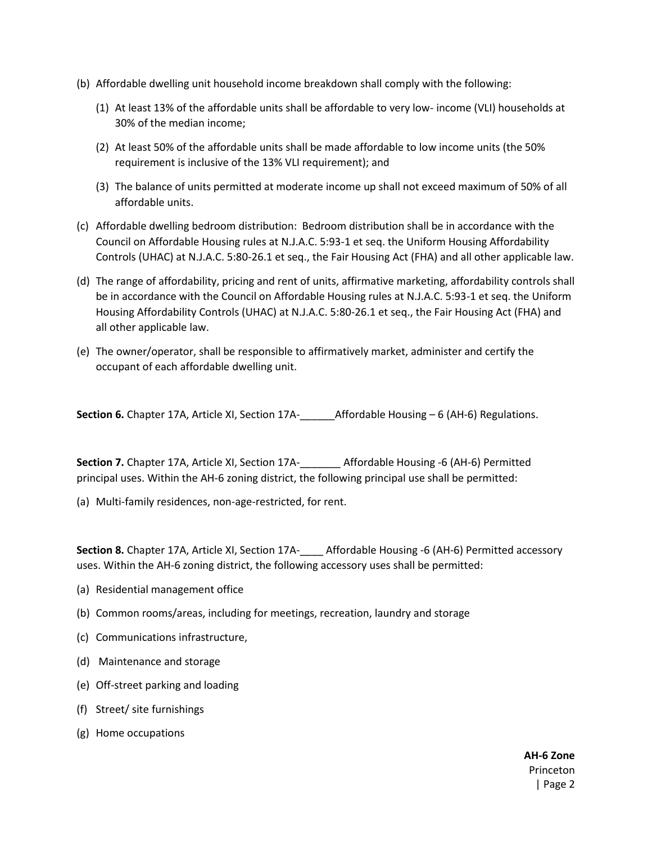- (b) Affordable dwelling unit household income breakdown shall comply with the following:
	- (1) At least 13% of the affordable units shall be affordable to very low- income (VLI) households at 30% of the median income;
	- (2) At least 50% of the affordable units shall be made affordable to low income units (the 50% requirement is inclusive of the 13% VLI requirement); and
	- (3) The balance of units permitted at moderate income up shall not exceed maximum of 50% of all affordable units.
- (c) Affordable dwelling bedroom distribution: Bedroom distribution shall be in accordance with the Council on Affordable Housing rules at N.J.A.C. 5:93-1 et seq. the Uniform Housing Affordability Controls (UHAC) at N.J.A.C. 5:80-26.1 et seq., the Fair Housing Act (FHA) and all other applicable law.
- (d) The range of affordability, pricing and rent of units, affirmative marketing, affordability controls shall be in accordance with the Council on Affordable Housing rules at N.J.A.C. 5:93-1 et seq. the Uniform Housing Affordability Controls (UHAC) at N.J.A.C. 5:80-26.1 et seq., the Fair Housing Act (FHA) and all other applicable law.
- (e) The owner/operator, shall be responsible to affirmatively market, administer and certify the occupant of each affordable dwelling unit.

**Section 6.** Chapter 17A, Article XI, Section 17A-\_\_\_\_\_\_Affordable Housing – 6 (AH-6) Regulations.

**Section 7.** Chapter 17A, Article XI, Section 17A-\_\_\_\_\_\_\_ Affordable Housing -6 (AH-6) Permitted principal uses. Within the AH-6 zoning district, the following principal use shall be permitted:

(a) Multi-family residences, non-age-restricted, for rent.

**Section 8.** Chapter 17A, Article XI, Section 17A-\_\_\_\_ Affordable Housing -6 (AH-6) Permitted accessory uses. Within the AH-6 zoning district, the following accessory uses shall be permitted:

- (a) Residential management office
- (b) Common rooms/areas, including for meetings, recreation, laundry and storage
- (c) Communications infrastructure,
- (d) Maintenance and storage
- (e) Off-street parking and loading
- (f) Street/ site furnishings
- (g) Home occupations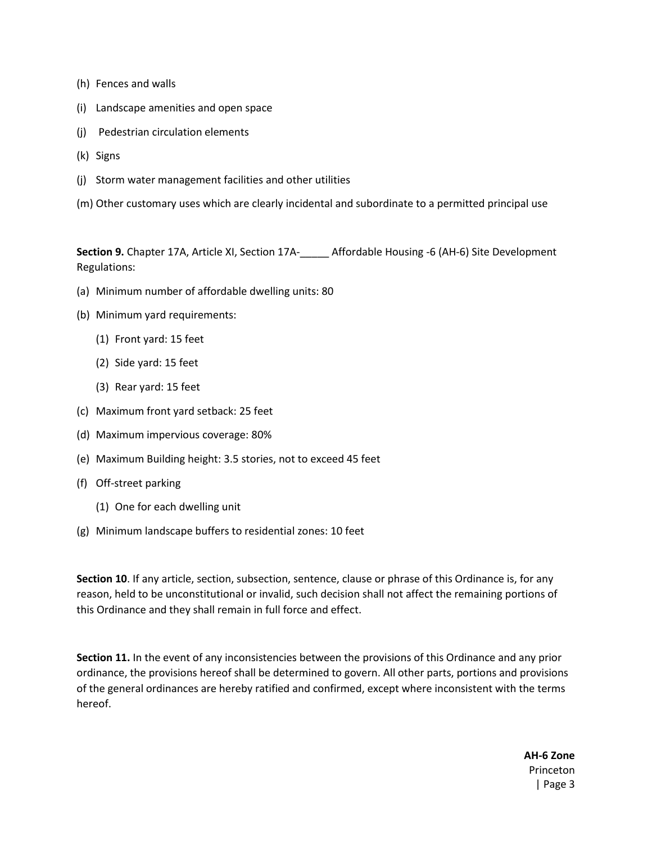- (h) Fences and walls
- (i) Landscape amenities and open space
- (j) Pedestrian circulation elements
- (k) Signs
- (j) Storm water management facilities and other utilities
- (m) Other customary uses which are clearly incidental and subordinate to a permitted principal use

**Section 9.** Chapter 17A, Article XI, Section 17A-\_\_\_\_\_ Affordable Housing -6 (AH-6) Site Development Regulations:

- (a) Minimum number of affordable dwelling units: 80
- (b) Minimum yard requirements:
	- (1) Front yard: 15 feet
	- (2) Side yard: 15 feet
	- (3) Rear yard: 15 feet
- (c) Maximum front yard setback: 25 feet
- (d) Maximum impervious coverage: 80%
- (e) Maximum Building height: 3.5 stories, not to exceed 45 feet
- (f) Off-street parking
	- (1) One for each dwelling unit
- (g) Minimum landscape buffers to residential zones: 10 feet

**Section 10**. If any article, section, subsection, sentence, clause or phrase of this Ordinance is, for any reason, held to be unconstitutional or invalid, such decision shall not affect the remaining portions of this Ordinance and they shall remain in full force and effect.

**Section 11.** In the event of any inconsistencies between the provisions of this Ordinance and any prior ordinance, the provisions hereof shall be determined to govern. All other parts, portions and provisions of the general ordinances are hereby ratified and confirmed, except where inconsistent with the terms hereof.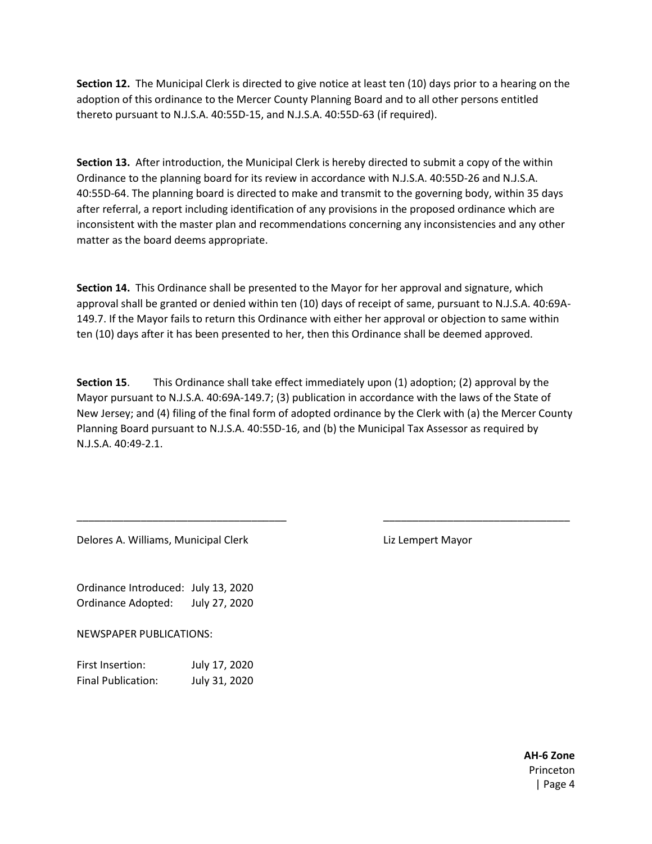**Section 12.** The Municipal Clerk is directed to give notice at least ten (10) days prior to a hearing on the adoption of this ordinance to the Mercer County Planning Board and to all other persons entitled thereto pursuant to N.J.S.A. 40:55D-15, and N.J.S.A. 40:55D-63 (if required).

**Section 13.** After introduction, the Municipal Clerk is hereby directed to submit a copy of the within Ordinance to the planning board for its review in accordance with N.J.S.A. 40:55D-26 and N.J.S.A. 40:55D-64. The planning board is directed to make and transmit to the governing body, within 35 days after referral, a report including identification of any provisions in the proposed ordinance which are inconsistent with the master plan and recommendations concerning any inconsistencies and any other matter as the board deems appropriate.

**Section 14.** This Ordinance shall be presented to the Mayor for her approval and signature, which approval shall be granted or denied within ten (10) days of receipt of same, pursuant to N.J.S.A. 40:69A-149.7. If the Mayor fails to return this Ordinance with either her approval or objection to same within ten (10) days after it has been presented to her, then this Ordinance shall be deemed approved.

**Section 15.** This Ordinance shall take effect immediately upon (1) adoption; (2) approval by the Mayor pursuant to N.J.S.A. 40:69A-149.7; (3) publication in accordance with the laws of the State of New Jersey; and (4) filing of the final form of adopted ordinance by the Clerk with (a) the Mercer County Planning Board pursuant to N.J.S.A. 40:55D-16, and (b) the Municipal Tax Assessor as required by N.J.S.A. 40:49-2.1.

\_\_\_\_\_\_\_\_\_\_\_\_\_\_\_\_\_\_\_\_\_\_\_\_\_\_\_\_\_\_\_\_\_\_\_\_ \_\_\_\_\_\_\_\_\_\_\_\_\_\_\_\_\_\_\_\_\_\_\_\_\_\_\_\_\_\_\_\_

Delores A. Williams, Municipal Clerk List Lempert Mayor

Ordinance Introduced: July 13, 2020 Ordinance Adopted: July 27, 2020

NEWSPAPER PUBLICATIONS:

| First Insertion:   | July 17, 2020 |
|--------------------|---------------|
| Final Publication: | July 31, 2020 |